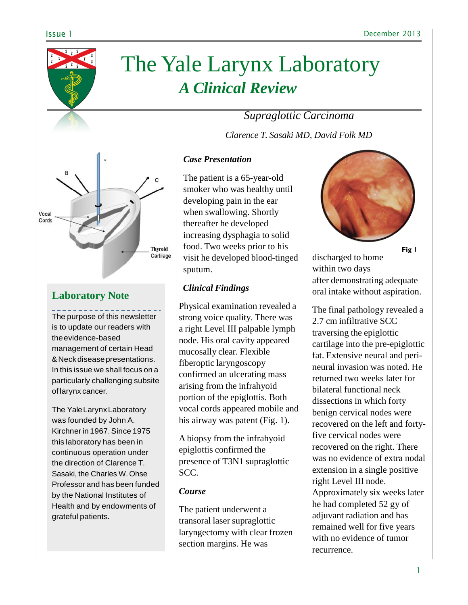

# The Yale Larynx Laboratory *A Clinical Review*

# *Supraglottic Carcinoma*

*Clarence T. Sasaki MD, David Folk MD*



# **Laboratory Note**

The purpose of this newsletter is to update our readers with theevidence-based management of certain Head &Neckdiseasepresentations. In this issue we shall focus on a particularly challenging subsite of larynx cancer.

The YaleLarynxLaboratory was founded by John A. Kirchnerin 1967.Since 1975 this laboratory has been in continuous operation under the direction of Clarence T. Sasaki, the Charles W. Ohse Professor and has been funded by the National Institutes of Health and by endowments of grateful patients.

## *Case Presentation*

The patient is a 65-year-old smoker who was healthy until developing pain in the ear when swallowing. Shortly thereafter he developed increasing dysphagia to solid food. Two weeks prior to his visit he developed blood-tinged sputum.

### *Clinical Findings*

Physical examination revealed a strong voice quality. There was a right Level III palpable lymph node. His oral cavity appeared mucosally clear. Flexible fiberoptic laryngoscopy confirmed an ulcerating mass arising from the infrahyoid portion of the epiglottis. Both vocal cords appeared mobile and his airway was patent (Fig. 1).

A biopsy from the infrahyoid epiglottis confirmed the presence of T3N1 supraglottic SCC.

### *Course*

The patient underwent a transoral laser supraglottic laryngectomy with clear frozen section margins. He was



**Fig 1**

discharged to home within two days after demonstrating adequate oral intake without aspiration.

The final pathology revealed a 2.7 cm infiltrative SCC traversing the epiglottic cartilage into the pre-epiglottic fat. Extensive neural and perineural invasion was noted. He returned two weeks later for bilateral functional neck dissections in which forty benign cervical nodes were recovered on the left and fortyfive cervical nodes were recovered on the right. There was no evidence of extra nodal extension in a single positive right Level III node. Approximately six weeks later he had completed 52 gy of adjuvant radiation and has remained well for five years with no evidence of tumor recurrence.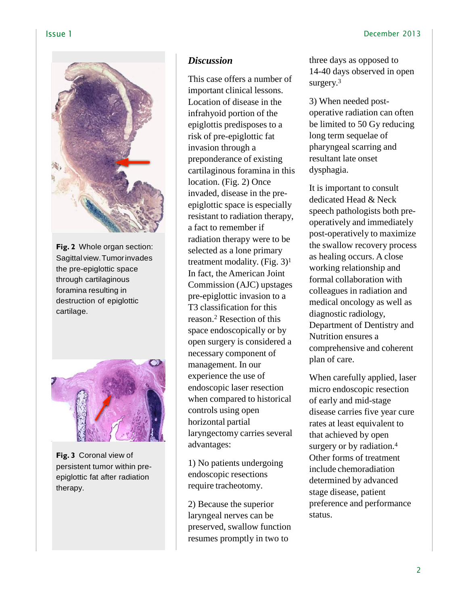

**Fig. 2** Whole organ section: Sagittal view.Tumorinvades the pre-epiglottic space through cartilaginous foramina resulting in destruction of epiglottic cartilage.



**Fig. 3** Coronal view of persistent tumor within preepiglottic fat after radiation therapy.

# *Discussion*

This case offers a number of important clinical lessons. Location of disease in the infrahyoid portion of the epiglottis predisposes to a risk of pre-epiglottic fat invasion through a preponderance of existing cartilaginous foramina in this location. (Fig. 2) Once invaded, disease in the preepiglottic space is especially resistant to radiation therapy, a fact to remember if radiation therapy were to be selected as a lone primary treatment modality. (Fig.  $3)^1$ In fact, the American Joint Commission (AJC) upstages pre-epiglottic invasion to a T3 classification for this reason.<sup>2</sup> Resection of this space endoscopically or by open surgery is considered a necessary component of management. In our experience the use of endoscopic laser resection when compared to historical controls using open horizontal partial laryngectomy carries several advantages:

1) No patients undergoing endoscopic resections require tracheotomy.

2) Because the superior laryngeal nerves can be preserved, swallow function resumes promptly in two to

three days as opposed to 14-40 days observed in open surgery.<sup>3</sup>

3) When needed postoperative radiation can often be limited to 50 Gy reducing long term sequelae of pharyngeal scarring and resultant late onset dysphagia.

It is important to consult dedicated Head & Neck speech pathologists both preoperatively and immediately post-operatively to maximize the swallow recovery process as healing occurs. A close working relationship and formal collaboration with colleagues in radiation and medical oncology as well as diagnostic radiology, Department of Dentistry and Nutrition ensures a comprehensive and coherent plan of care.

When carefully applied, laser micro endoscopic resection of early and mid-stage disease carries five year cure rates at least equivalent to that achieved by open surgery or by radiation.<sup>4</sup> Other forms of treatment include chemoradiation determined by advanced stage disease, patient preference and performance status.